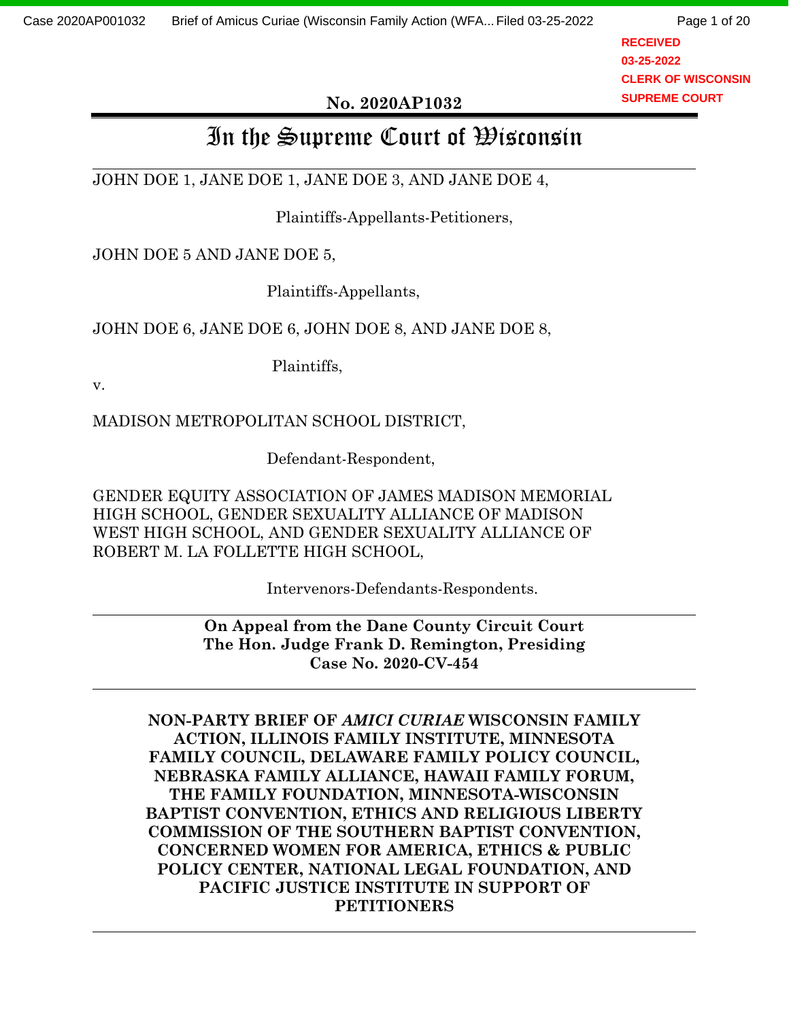**RECEIVED 03-25-2022 CLERK OF WISCONSIN SUPREME COURT**

#### **No. 2020AP1032**

# In the Supreme Court of  $\mathfrak B$ isconsin

JOHN DOE 1, JANE DOE 1, JANE DOE 3, AND JANE DOE 4,

Plaintiffs-Appellants-Petitioners,

JOHN DOE 5 AND JANE DOE 5,

Plaintiffs-Appellants,

JOHN DOE 6, JANE DOE 6, JOHN DOE 8, AND JANE DOE 8,

Plaintiffs,

v.

MADISON METROPOLITAN SCHOOL DISTRICT,

Defendant-Respondent,

GENDER EQUITY ASSOCIATION OF JAMES MADISON MEMORIAL HIGH SCHOOL, GENDER SEXUALITY ALLIANCE OF MADISON WEST HIGH SCHOOL, AND GENDER SEXUALITY ALLIANCE OF ROBERT M. LA FOLLETTE HIGH SCHOOL,

Intervenors-Defendants-Respondents.

**On Appeal from the Dane County Circuit Court The Hon. Judge Frank D. Remington, Presiding Case No. 2020-CV-454**

**NON-PARTY BRIEF OF** *AMICI CURIAE* **WISCONSIN FAMILY ACTION, ILLINOIS FAMILY INSTITUTE, MINNESOTA FAMILY COUNCIL, DELAWARE FAMILY POLICY COUNCIL, NEBRASKA FAMILY ALLIANCE, HAWAII FAMILY FORUM, THE FAMILY FOUNDATION, MINNESOTA-WISCONSIN BAPTIST CONVENTION, ETHICS AND RELIGIOUS LIBERTY COMMISSION OF THE SOUTHERN BAPTIST CONVENTION, CONCERNED WOMEN FOR AMERICA, ETHICS & PUBLIC POLICY CENTER, NATIONAL LEGAL FOUNDATION, AND PACIFIC JUSTICE INSTITUTE IN SUPPORT OF PETITIONERS**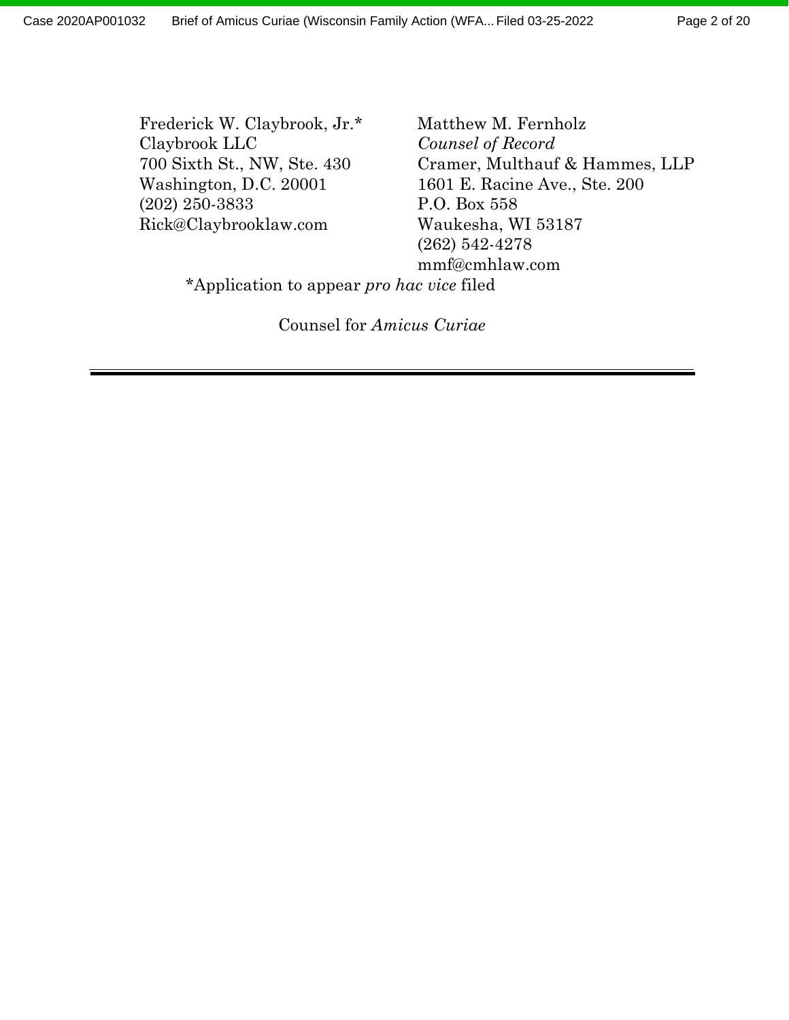Frederick W. Claybrook, Jr.\* Matthew M. Fernholz Claybrook LLC *Counsel of Record* (202) 250-3833 P.O. Box 558 Rick@Claybrooklaw.com Waukesha, WI 53187

700 Sixth St., NW, Ste. 430 Cramer, Multhauf & Hammes, LLP Washington, D.C. 20001 1601 E. Racine Ave., Ste. 200 (262) 542-4278 mmf@cmhlaw.com

\*Application to appear *pro hac vice* filed

Counsel for *Amicus Curiae*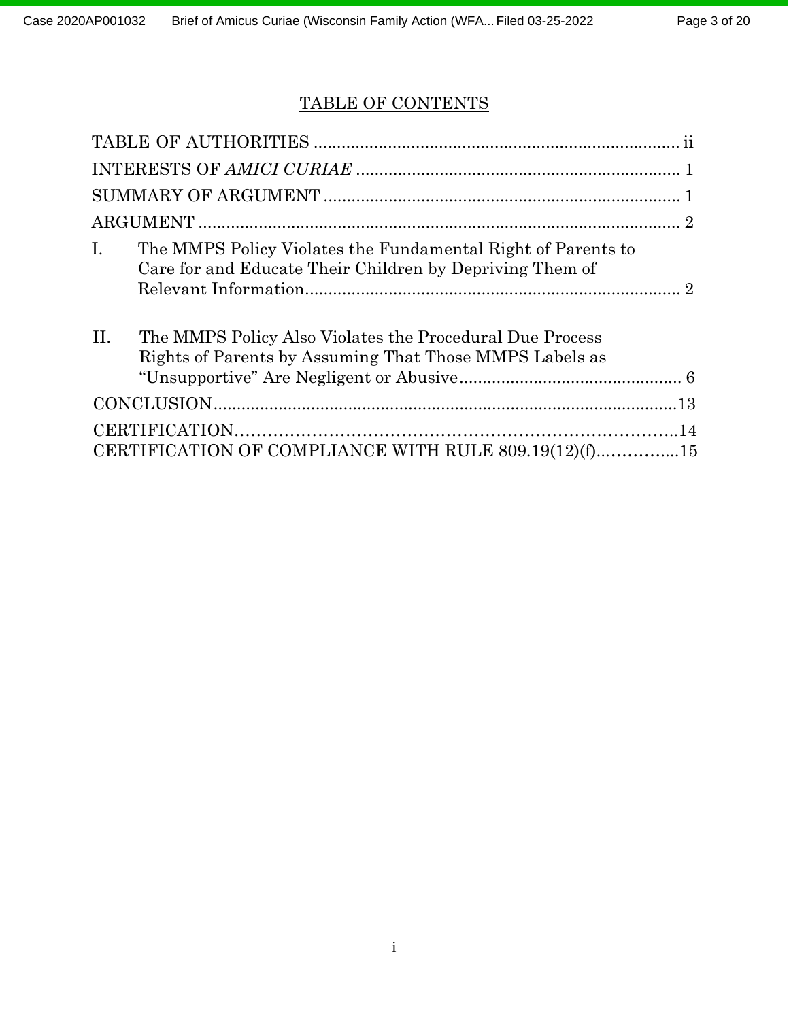## TABLE OF CONTENTS

| $\mathbf{I}$ . | The MMPS Policy Violates the Fundamental Right of Parents to<br>Care for and Educate Their Children by Depriving Them of |  |
|----------------|--------------------------------------------------------------------------------------------------------------------------|--|
| II.            | The MMPS Policy Also Violates the Procedural Due Process<br>Rights of Parents by Assuming That Those MMPS Labels as      |  |
|                |                                                                                                                          |  |
|                |                                                                                                                          |  |
|                | CERTIFICATION OF COMPLIANCE WITH RULE 809.19(12)(f)15                                                                    |  |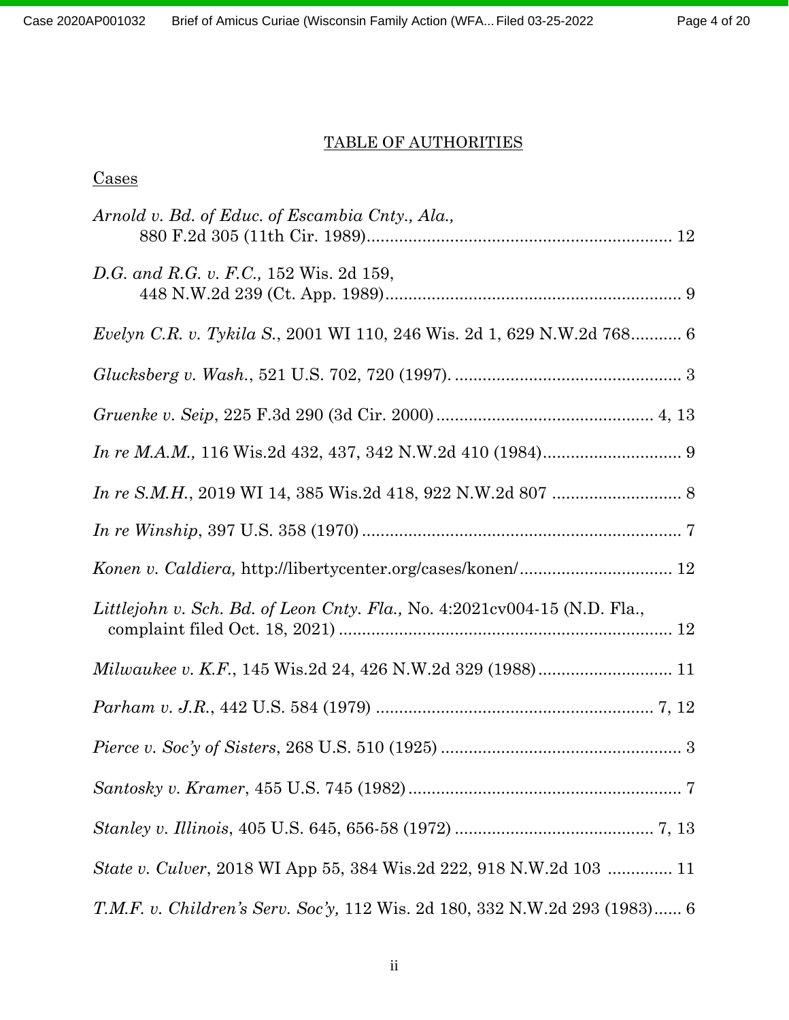#### TABLE OF AUTHORITIES

## Cases

| Arnold v. Bd. of Educ. of Escambia Cnty., Ala.,                                |
|--------------------------------------------------------------------------------|
| D.G. and R.G. v. F.C., 152 Wis. 2d 159,                                        |
| <i>Evelyn C.R. v. Tykila S.</i> , 2001 WI 110, 246 Wis. 2d 1, 629 N.W.2d 768 6 |
|                                                                                |
|                                                                                |
|                                                                                |
|                                                                                |
|                                                                                |
|                                                                                |
| Littlejohn v. Sch. Bd. of Leon Cnty. Fla., No. 4:2021cv004-15 (N.D. Fla.,      |
| Milwaukee v. K.F., 145 Wis.2d 24, 426 N.W.2d 329 (1988) 11                     |
|                                                                                |
|                                                                                |
|                                                                                |
|                                                                                |
| <i>State v. Culver</i> , 2018 WI App 55, 384 Wis.2d 222, 918 N.W.2d 103  11    |
| T.M.F. v. Children's Serv. Soc'y, 112 Wis. 2d 180, 332 N.W.2d 293 (1983) 6     |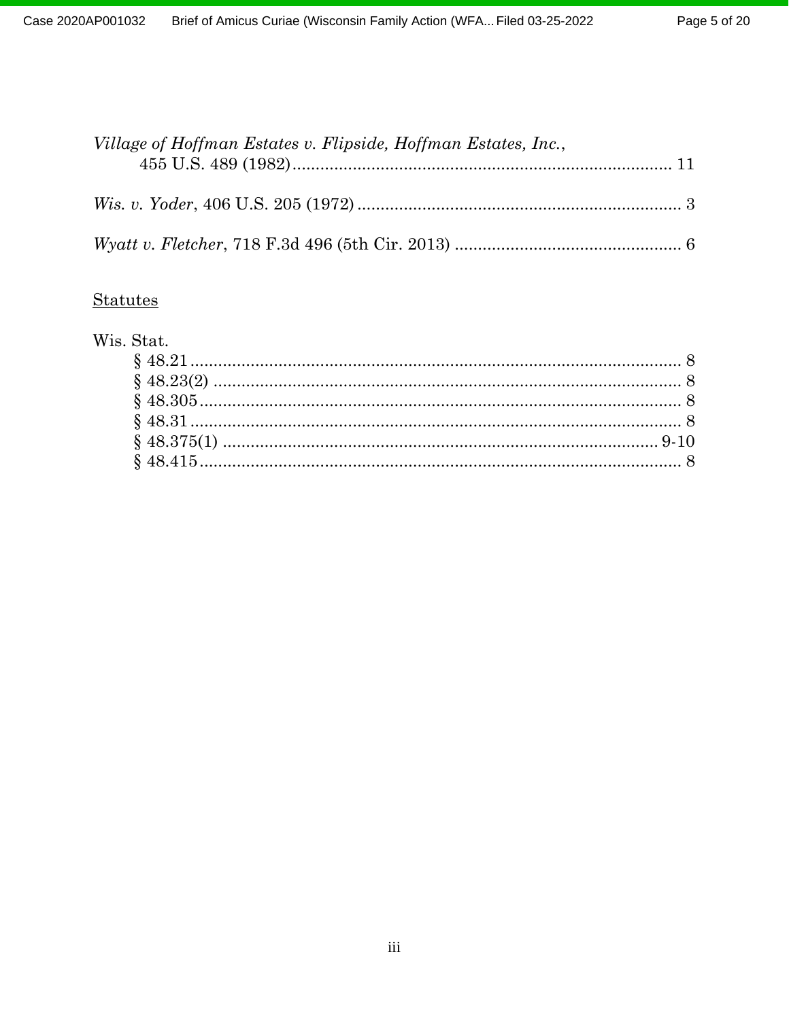| Village of Hoffman Estates v. Flipside, Hoffman Estates, Inc., |  |
|----------------------------------------------------------------|--|
|                                                                |  |
|                                                                |  |

## **Statutes**

|  | Wis. Stat. |
|--|------------|
|  |            |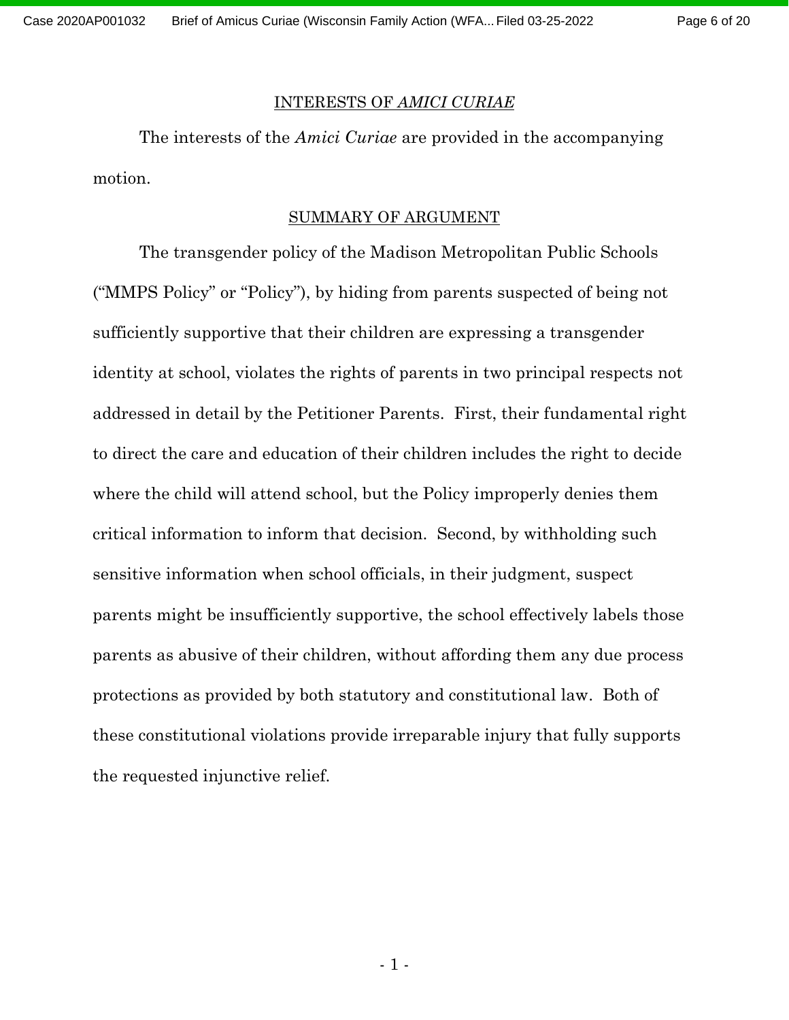Page 6 of 20

#### INTERESTS OF *AMICI CURIAE*

The interests of the *Amici Curiae* are provided in the accompanying motion.

#### SUMMARY OF ARGUMENT

The transgender policy of the Madison Metropolitan Public Schools ("MMPS Policy" or "Policy"), by hiding from parents suspected of being not sufficiently supportive that their children are expressing a transgender identity at school, violates the rights of parents in two principal respects not addressed in detail by the Petitioner Parents. First, their fundamental right to direct the care and education of their children includes the right to decide where the child will attend school, but the Policy improperly denies them critical information to inform that decision. Second, by withholding such sensitive information when school officials, in their judgment, suspect parents might be insufficiently supportive, the school effectively labels those parents as abusive of their children, without affording them any due process protections as provided by both statutory and constitutional law. Both of these constitutional violations provide irreparable injury that fully supports the requested injunctive relief.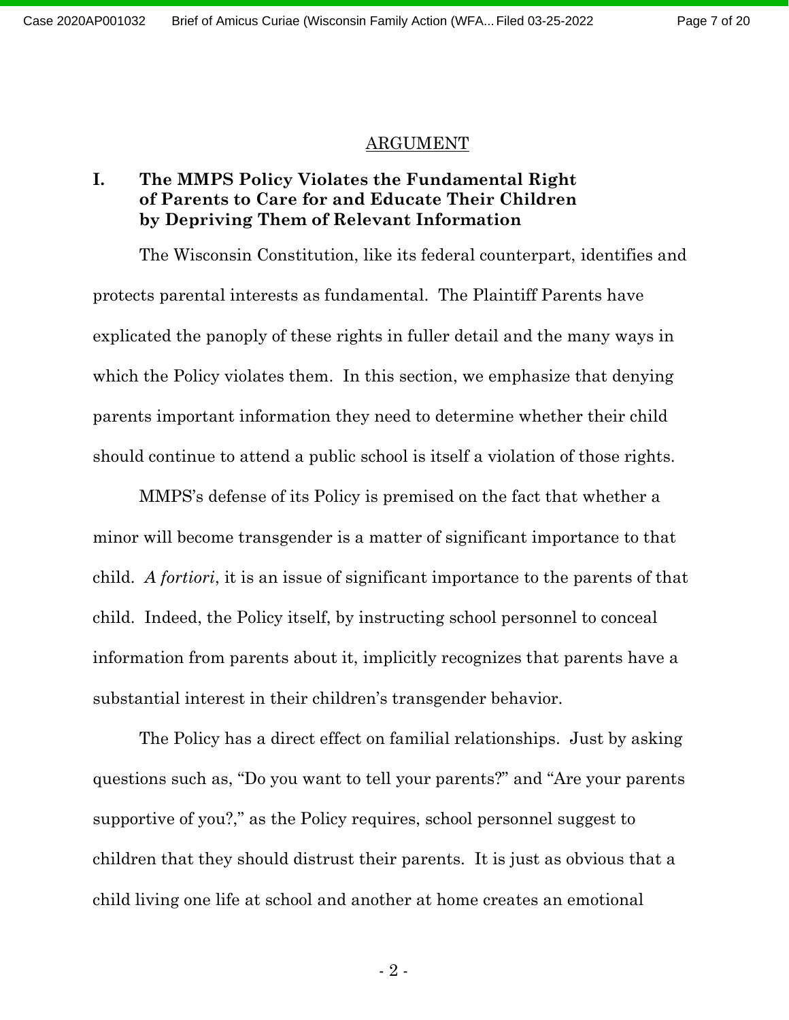#### ARGUMENT

#### **I. The MMPS Policy Violates the Fundamental Right of Parents to Care for and Educate Their Children by Depriving Them of Relevant Information**

The Wisconsin Constitution, like its federal counterpart, identifies and protects parental interests as fundamental. The Plaintiff Parents have explicated the panoply of these rights in fuller detail and the many ways in which the Policy violates them. In this section, we emphasize that denying parents important information they need to determine whether their child should continue to attend a public school is itself a violation of those rights.

MMPS's defense of its Policy is premised on the fact that whether a minor will become transgender is a matter of significant importance to that child. *A fortiori*, it is an issue of significant importance to the parents of that child. Indeed, the Policy itself, by instructing school personnel to conceal information from parents about it, implicitly recognizes that parents have a substantial interest in their children's transgender behavior.

The Policy has a direct effect on familial relationships. Just by asking questions such as, "Do you want to tell your parents?" and "Are your parents supportive of you?," as the Policy requires, school personnel suggest to children that they should distrust their parents. It is just as obvious that a child living one life at school and another at home creates an emotional

 $-2$  -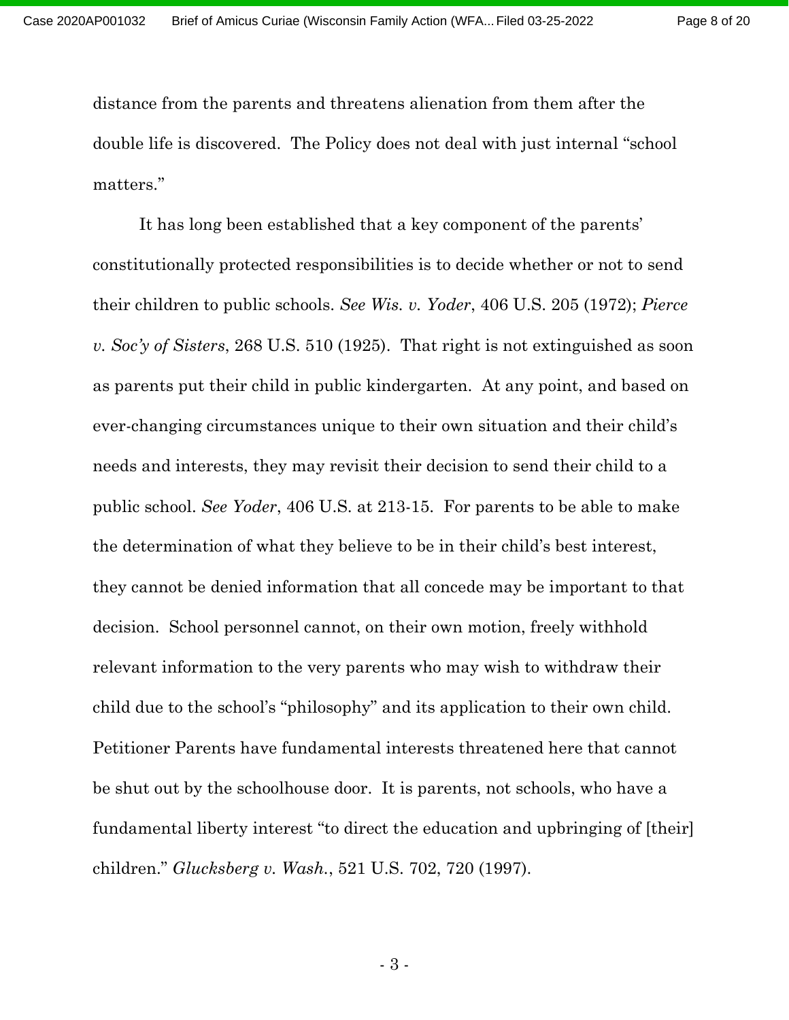Page 8 of 20

distance from the parents and threatens alienation from them after the double life is discovered. The Policy does not deal with just internal "school matters."

It has long been established that a key component of the parents' constitutionally protected responsibilities is to decide whether or not to send their children to public schools. *See Wis. v. Yoder*, 406 U.S. 205 (1972); *Pierce v. Soc'y of Sisters*, 268 U.S. 510 (1925). That right is not extinguished as soon as parents put their child in public kindergarten. At any point, and based on ever-changing circumstances unique to their own situation and their child's needs and interests, they may revisit their decision to send their child to a public school. *See Yoder*, 406 U.S. at 213-15. For parents to be able to make the determination of what they believe to be in their child's best interest, they cannot be denied information that all concede may be important to that decision. School personnel cannot, on their own motion, freely withhold relevant information to the very parents who may wish to withdraw their child due to the school's "philosophy" and its application to their own child. Petitioner Parents have fundamental interests threatened here that cannot be shut out by the schoolhouse door. It is parents, not schools, who have a fundamental liberty interest "to direct the education and upbringing of [their] children." *Glucksberg v. Wash.*, 521 U.S. 702, 720 (1997).

- 3 -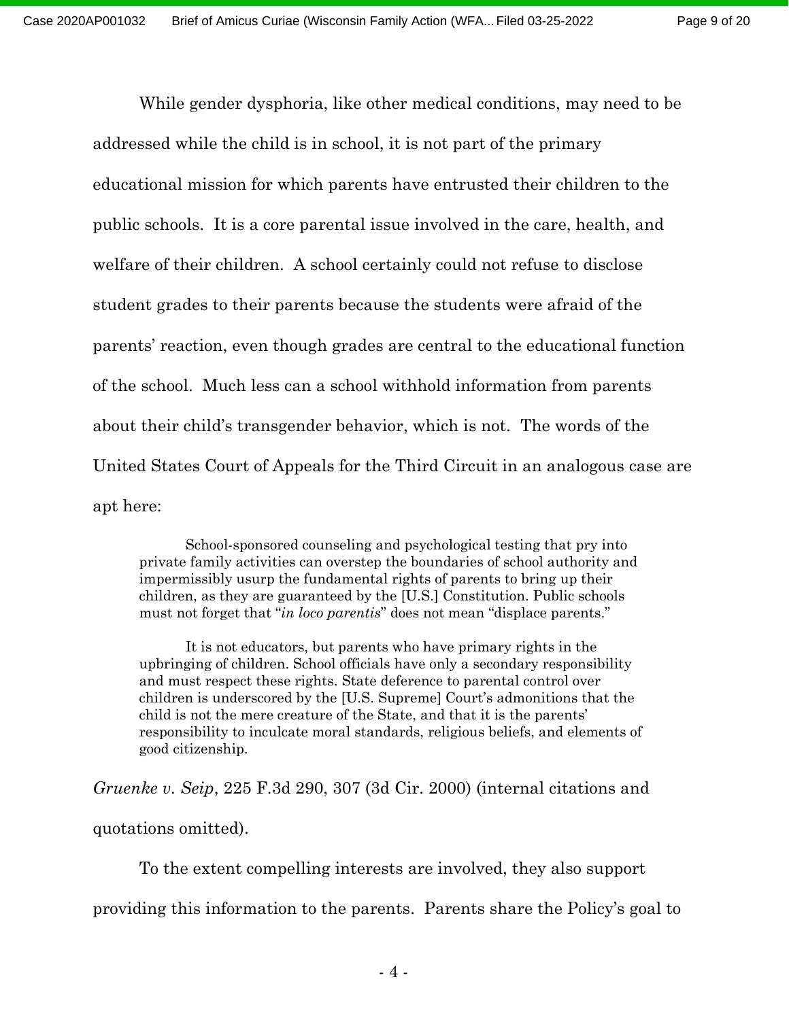Page 9 of 20

While gender dysphoria, like other medical conditions, may need to be addressed while the child is in school, it is not part of the primary educational mission for which parents have entrusted their children to the public schools. It is a core parental issue involved in the care, health, and welfare of their children. A school certainly could not refuse to disclose student grades to their parents because the students were afraid of the parents' reaction, even though grades are central to the educational function of the school. Much less can a school withhold information from parents about their child's transgender behavior, which is not. The words of the United States Court of Appeals for the Third Circuit in an analogous case are apt here:

School-sponsored counseling and psychological testing that pry into private family activities can overstep the boundaries of school authority and impermissibly usurp the fundamental rights of parents to bring up their children, as they are guaranteed by the [U.S.] Constitution. Public schools must not forget that "*in loco parentis*" does not mean "displace parents."

It is not educators, but parents who have primary rights in the upbringing of children. School officials have only a secondary responsibility and must respect these rights. State deference to parental control over children is underscored by the [U.S. Supreme] Court's admonitions that the child is not the mere creature of the State, and that it is the parents' responsibility to inculcate moral standards, religious beliefs, and elements of good citizenship.

*Gruenke v. Seip*, 225 F.3d 290, 307 (3d Cir. 2000) (internal citations and quotations omitted).

To the extent compelling interests are involved, they also support

providing this information to the parents. Parents share the Policy's goal to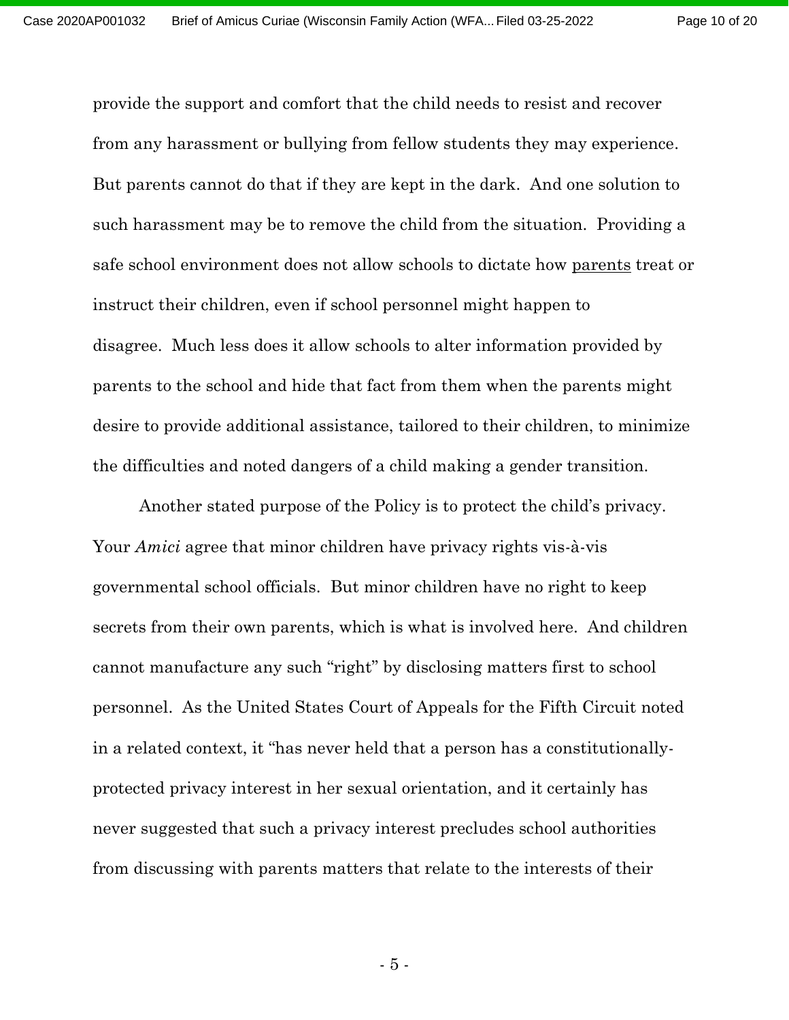Page 10 of 20

provide the support and comfort that the child needs to resist and recover from any harassment or bullying from fellow students they may experience. But parents cannot do that if they are kept in the dark. And one solution to such harassment may be to remove the child from the situation. Providing a safe school environment does not allow schools to dictate how parents treat or instruct their children, even if school personnel might happen to disagree. Much less does it allow schools to alter information provided by parents to the school and hide that fact from them when the parents might desire to provide additional assistance, tailored to their children, to minimize the difficulties and noted dangers of a child making a gender transition.

Another stated purpose of the Policy is to protect the child's privacy. Your *Amici* agree that minor children have privacy rights vis-à-vis governmental school officials. But minor children have no right to keep secrets from their own parents, which is what is involved here. And children cannot manufacture any such "right" by disclosing matters first to school personnel. As the United States Court of Appeals for the Fifth Circuit noted in a related context, it "has never held that a person has a constitutionallyprotected privacy interest in her sexual orientation, and it certainly has never suggested that such a privacy interest precludes school authorities from discussing with parents matters that relate to the interests of their

- 5 -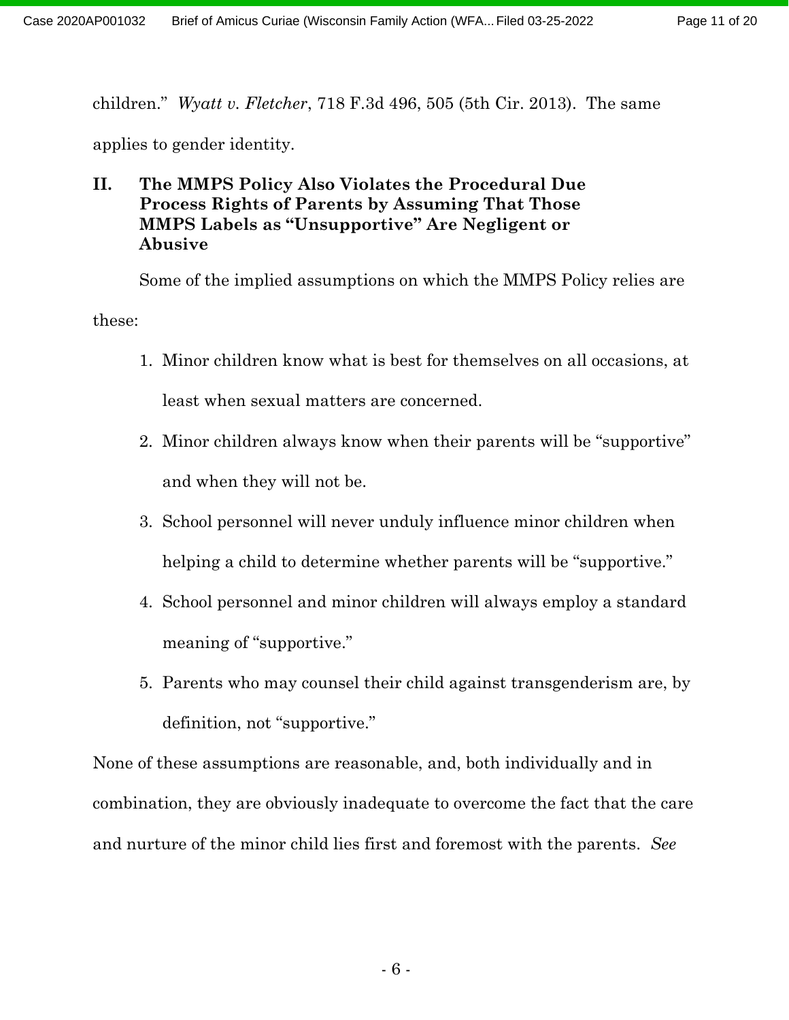children." *Wyatt v. Fletcher*, 718 F.3d 496, 505 (5th Cir. 2013). The same

applies to gender identity.

### **II. The MMPS Policy Also Violates the Procedural Due Process Rights of Parents by Assuming That Those MMPS Labels as "Unsupportive" Are Negligent or Abusive**

Some of the implied assumptions on which the MMPS Policy relies are these:

- 1. Minor children know what is best for themselves on all occasions, at least when sexual matters are concerned.
- 2. Minor children always know when their parents will be "supportive" and when they will not be.
- 3. School personnel will never unduly influence minor children when helping a child to determine whether parents will be "supportive."
- 4. School personnel and minor children will always employ a standard meaning of "supportive."
- 5. Parents who may counsel their child against transgenderism are, by definition, not "supportive."

None of these assumptions are reasonable, and, both individually and in combination, they are obviously inadequate to overcome the fact that the care and nurture of the minor child lies first and foremost with the parents. *See*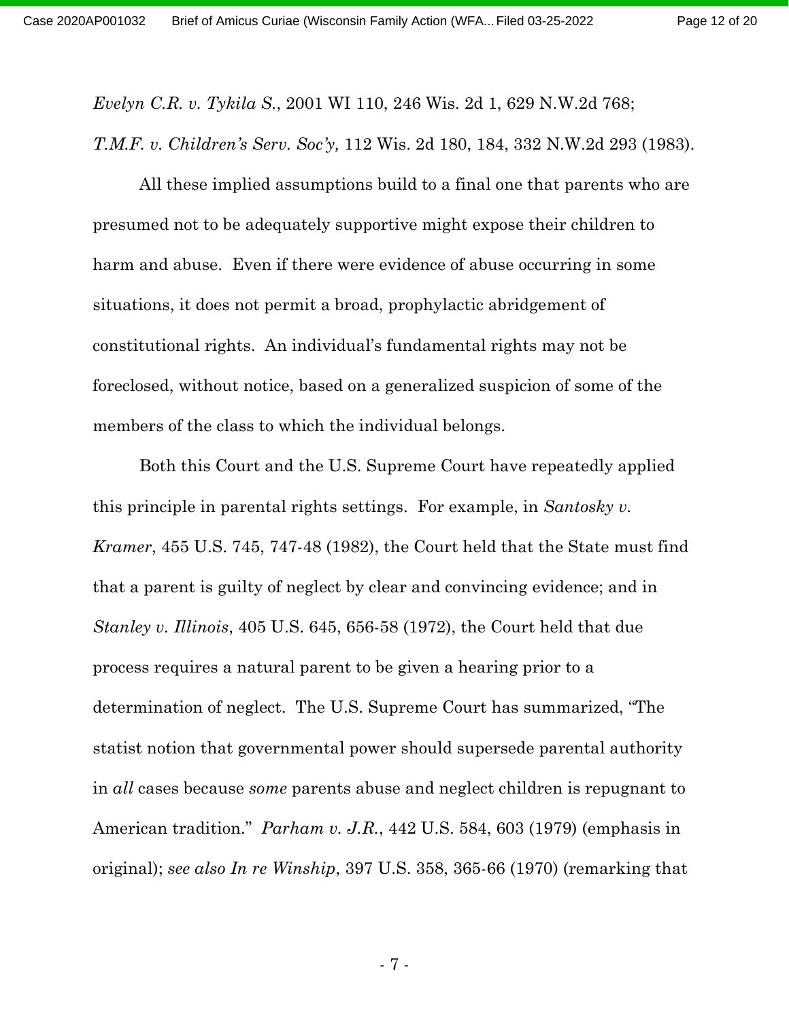*Evelyn C.R. v. Tykila S.*, 2001 WI 110, 246 Wis. 2d 1, 629 N.W.2d 768; *T.M.F. v. Children's Serv. Soc'y,* 112 Wis. 2d 180, 184, 332 N.W.2d 293 (1983).

All these implied assumptions build to a final one that parents who are presumed not to be adequately supportive might expose their children to harm and abuse. Even if there were evidence of abuse occurring in some situations, it does not permit a broad, prophylactic abridgement of constitutional rights. An individual's fundamental rights may not be foreclosed, without notice, based on a generalized suspicion of some of the members of the class to which the individual belongs.

Both this Court and the U.S. Supreme Court have repeatedly applied this principle in parental rights settings. For example, in *Santosky v. Kramer*, 455 U.S. 745, 747-48 (1982), the Court held that the State must find that a parent is guilty of neglect by clear and convincing evidence; and in *Stanley v. Illinois*, 405 U.S. 645, 656-58 (1972), the Court held that due process requires a natural parent to be given a hearing prior to a determination of neglect. The U.S. Supreme Court has summarized, "The statist notion that governmental power should supersede parental authority in *all* cases because *some* parents abuse and neglect children is repugnant to American tradition." *Parham v. J.R.*, 442 U.S. 584, 603 (1979) (emphasis in original); *see also In re Winship*, 397 U.S. 358, 365-66 (1970) (remarking that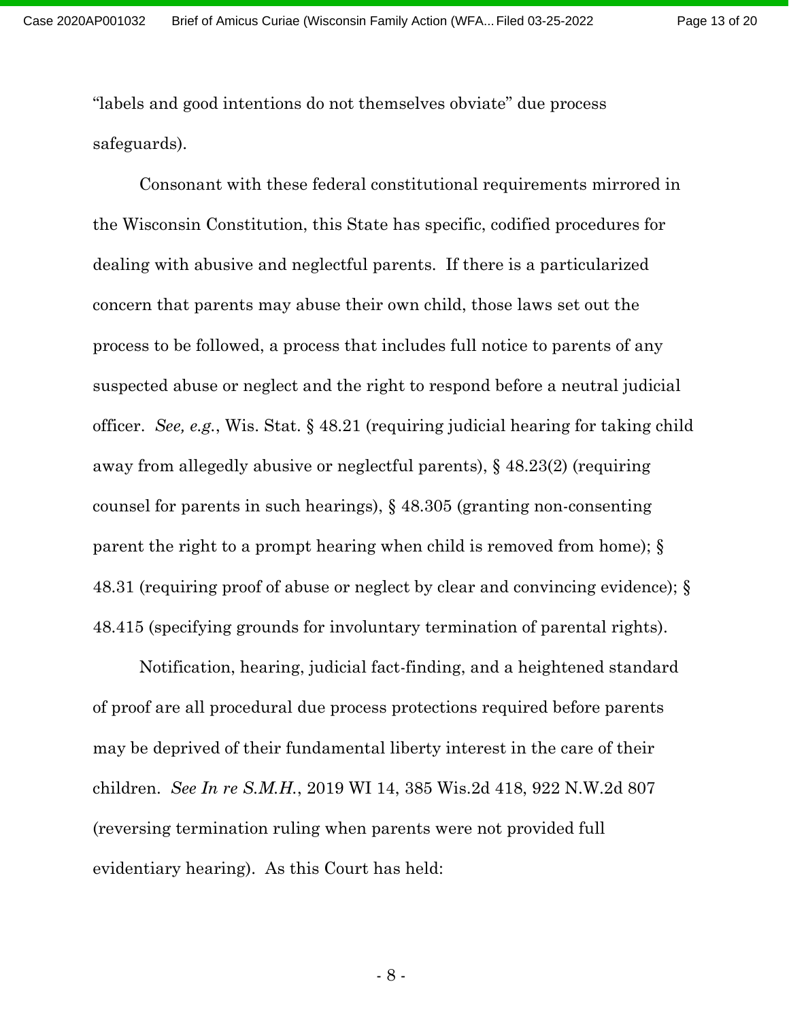Page 13 of 20

"labels and good intentions do not themselves obviate" due process safeguards).

Consonant with these federal constitutional requirements mirrored in the Wisconsin Constitution, this State has specific, codified procedures for dealing with abusive and neglectful parents. If there is a particularized concern that parents may abuse their own child, those laws set out the process to be followed, a process that includes full notice to parents of any suspected abuse or neglect and the right to respond before a neutral judicial officer. *See, e.g.*, Wis. Stat. § 48.21 (requiring judicial hearing for taking child away from allegedly abusive or neglectful parents), § 48.23(2) (requiring counsel for parents in such hearings), § 48.305 (granting non-consenting parent the right to a prompt hearing when child is removed from home); § 48.31 (requiring proof of abuse or neglect by clear and convincing evidence); § 48.415 (specifying grounds for involuntary termination of parental rights).

Notification, hearing, judicial fact-finding, and a heightened standard of proof are all procedural due process protections required before parents may be deprived of their fundamental liberty interest in the care of their children. *See In re S.M.H.*, 2019 WI 14, 385 Wis.2d 418, 922 N.W.2d 807 (reversing termination ruling when parents were not provided full evidentiary hearing). As this Court has held: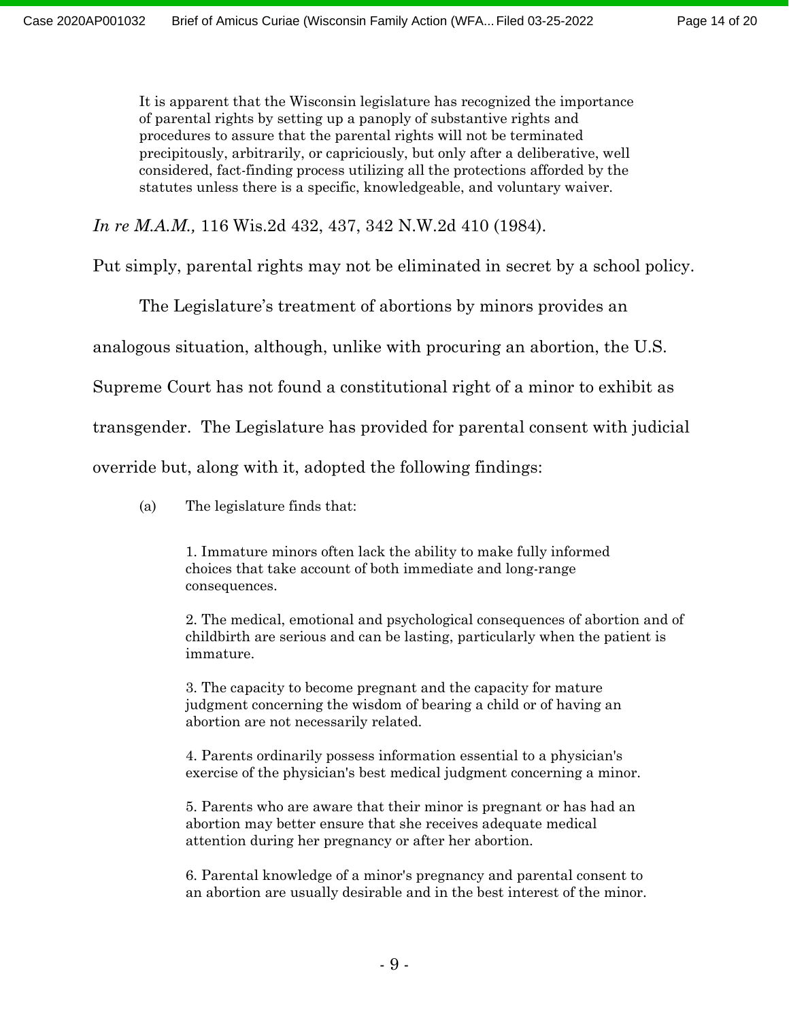It is apparent that the Wisconsin legislature has recognized the importance of parental rights by setting up a panoply of substantive rights and procedures to assure that the parental rights will not be terminated precipitously, arbitrarily, or capriciously, but only after a deliberative, well considered, fact-finding process utilizing all the protections afforded by the statutes unless there is a specific, knowledgeable, and voluntary waiver.

*In re M.A.M.,* 116 Wis.2d 432, 437, 342 N.W.2d 410 (1984).

Put simply, parental rights may not be eliminated in secret by a school policy.

The Legislature's treatment of abortions by minors provides an

analogous situation, although, unlike with procuring an abortion, the U.S.

Supreme Court has not found a constitutional right of a minor to exhibit as

transgender. The Legislature has provided for parental consent with judicial

override but, along with it, adopted the following findings:

(a) The legislature finds that:

1. Immature minors often lack the ability to make fully informed choices that take account of both immediate and long-range consequences.

2. The medical, emotional and psychological consequences of abortion and of childbirth are serious and can be lasting, particularly when the patient is immature.

3. The capacity to become pregnant and the capacity for mature judgment concerning the wisdom of bearing a child or of having an abortion are not necessarily related.

4. Parents ordinarily possess information essential to a physician's exercise of the physician's best medical judgment concerning a minor.

5. Parents who are aware that their minor is pregnant or has had an abortion may better ensure that she receives adequate medical attention during her pregnancy or after her abortion.

6. Parental knowledge of a minor's pregnancy and parental consent to an abortion are usually desirable and in the best interest of the minor.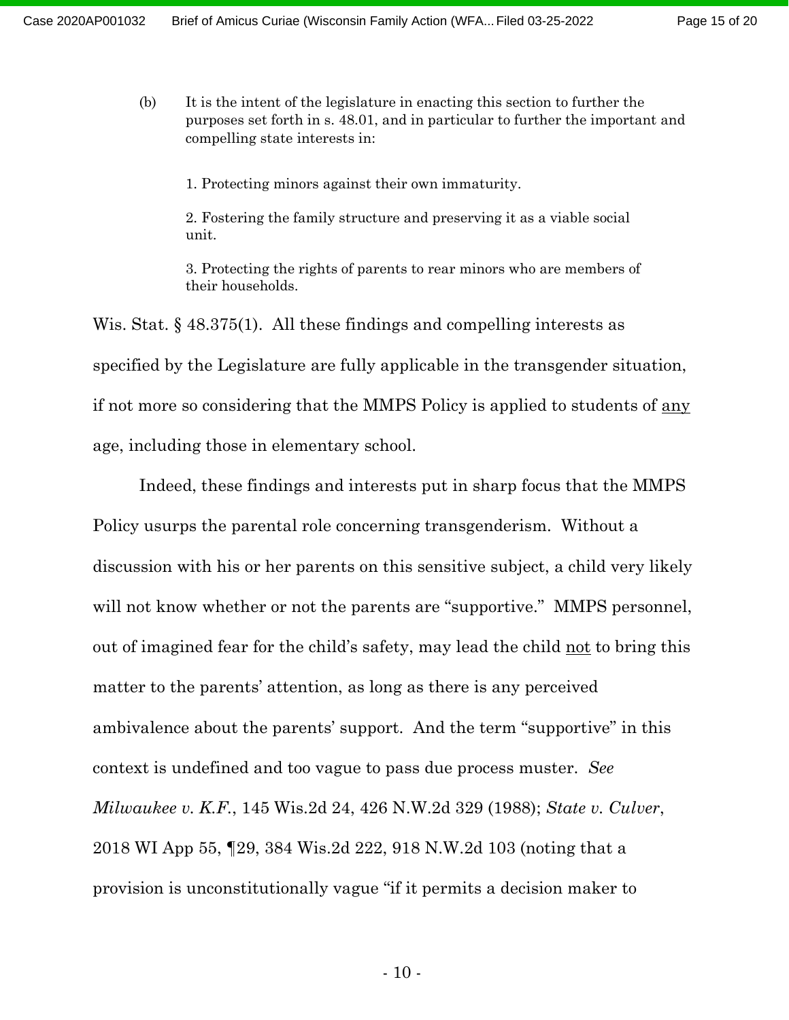(b) It is the intent of the legislature in enacting this section to further the purposes set forth in s. [48.01,](https://docs.legis.wisconsin.gov/document/statutes/48.01) and in particular to further the important and compelling state interests in:

1. Protecting minors against their own immaturity.

2. Fostering the family structure and preserving it as a viable social unit.

3. Protecting the rights of parents to rear minors who are members of their households.

Wis. Stat. § 48.375(1). All these findings and compelling interests as specified by the Legislature are fully applicable in the transgender situation, if not more so considering that the MMPS Policy is applied to students of any age, including those in elementary school.

Indeed, these findings and interests put in sharp focus that the MMPS Policy usurps the parental role concerning transgenderism. Without a discussion with his or her parents on this sensitive subject, a child very likely will not know whether or not the parents are "supportive." MMPS personnel, out of imagined fear for the child's safety, may lead the child not to bring this matter to the parents' attention, as long as there is any perceived ambivalence about the parents' support. And the term "supportive" in this context is undefined and too vague to pass due process muster. *See Milwaukee v. K.F.*, 145 Wis.2d 24, 426 N.W.2d 329 (1988); *State v. Culver*, 2018 WI App 55, ¶29, 384 Wis.2d 222, 918 N.W.2d 103 (noting that a provision is unconstitutionally vague "if it permits a decision maker to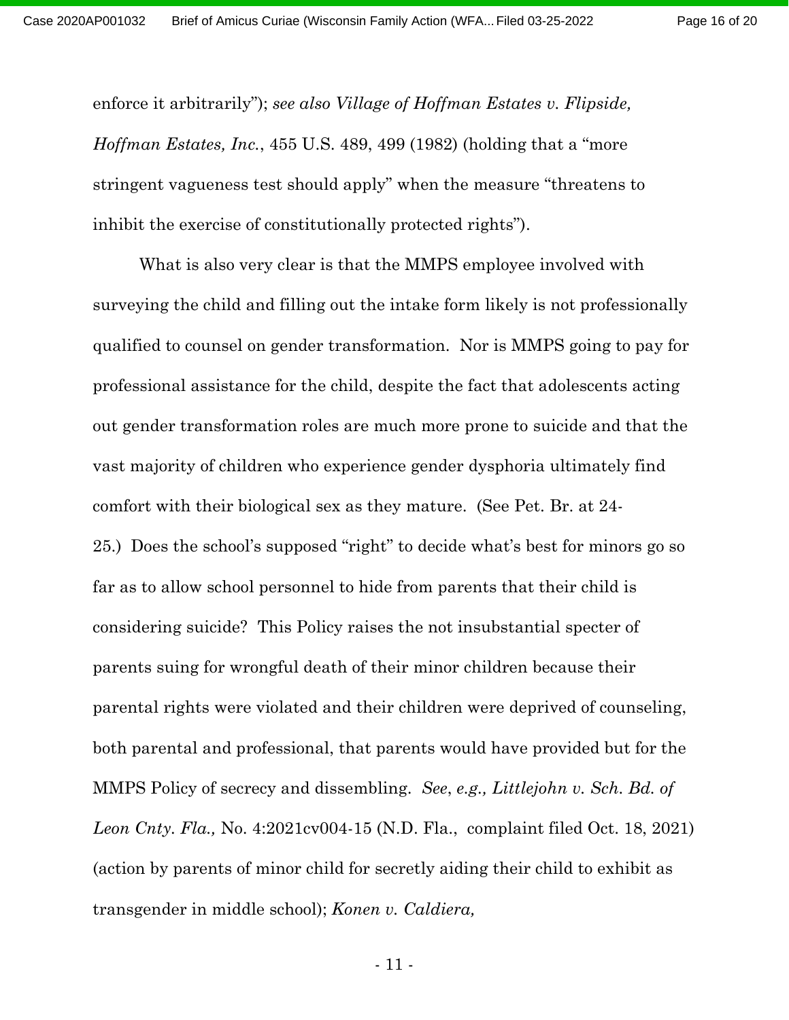Page 16 of 20

enforce it arbitrarily"); *see also Village of Hoffman Estates v. Flipside, Hoffman Estates, Inc.*, 455 U.S. 489, 499 (1982) (holding that a "more stringent vagueness test should apply" when the measure "threatens to inhibit the exercise of constitutionally protected rights").

What is also very clear is that the MMPS employee involved with surveying the child and filling out the intake form likely is not professionally qualified to counsel on gender transformation. Nor is MMPS going to pay for professional assistance for the child, despite the fact that adolescents acting out gender transformation roles are much more prone to suicide and that the vast majority of children who experience gender dysphoria ultimately find comfort with their biological sex as they mature. (See Pet. Br. at 24- 25.) Does the school's supposed "right" to decide what's best for minors go so far as to allow school personnel to hide from parents that their child is considering suicide?This Policy raises the not insubstantial specter of parents suing for wrongful death of their minor children because their parental rights were violated and their children were deprived of counseling, both parental and professional, that parents would have provided but for the MMPS Policy of secrecy and dissembling. *See*, *e.g., Littlejohn v. Sch. Bd. of Leon Cnty. Fla.,* No. 4:2021cv004-15 (N.D. Fla., complaint filed Oct. 18, 2021) (action by parents of minor child for secretly aiding their child to exhibit as transgender in middle school); *Konen v. Caldiera,*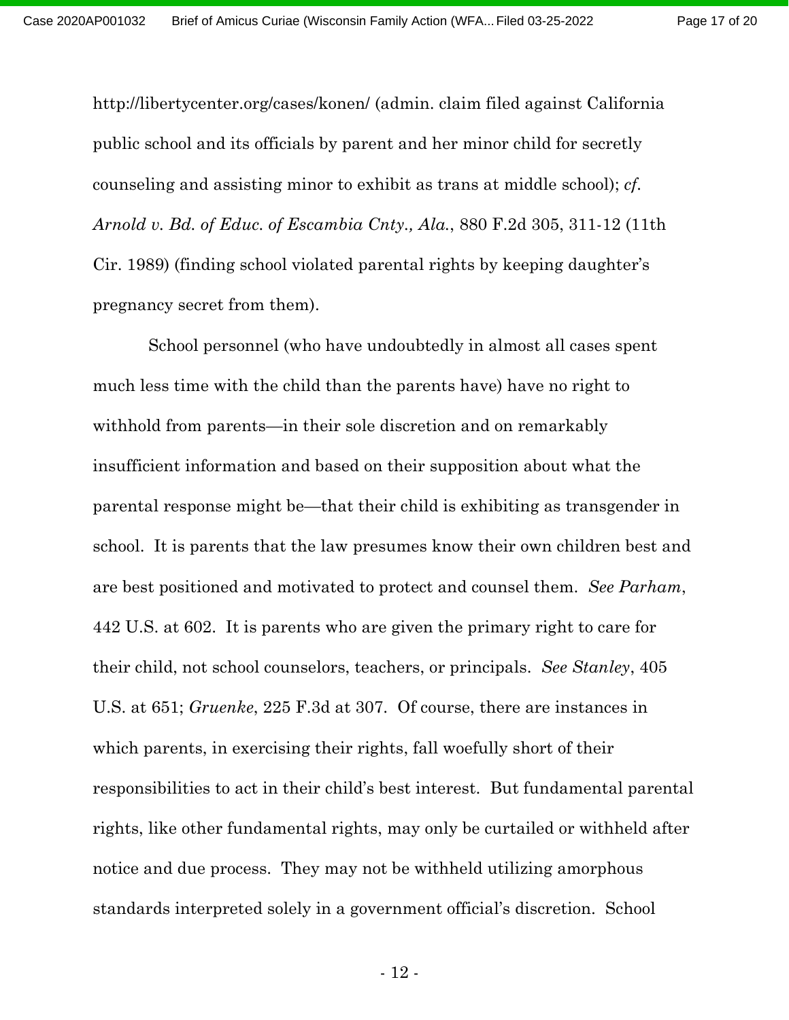Page 17 of 20

http://libertycenter.org/cases/konen/ (admin. claim filed against California public school and its officials by parent and her minor child for secretly counseling and assisting minor to exhibit as trans at middle school); *cf. Arnold v. Bd. of Educ. of Escambia Cnty., Ala.*, 880 F.2d 305, 311-12 (11th Cir. 1989) (finding school violated parental rights by keeping daughter's pregnancy secret from them).

School personnel (who have undoubtedly in almost all cases spent much less time with the child than the parents have) have no right to withhold from parents—in their sole discretion and on remarkably insufficient information and based on their supposition about what the parental response might be—that their child is exhibiting as transgender in school. It is parents that the law presumes know their own children best and are best positioned and motivated to protect and counsel them. *See Parham*, 442 U.S. at 602. It is parents who are given the primary right to care for their child, not school counselors, teachers, or principals. *See Stanley*, 405 U.S. at 651; *Gruenke*, 225 F.3d at 307.Of course, there are instances in which parents, in exercising their rights, fall woefully short of their responsibilities to act in their child's best interest. But fundamental parental rights, like other fundamental rights, may only be curtailed or withheld after notice and due process. They may not be withheld utilizing amorphous standards interpreted solely in a government official's discretion. School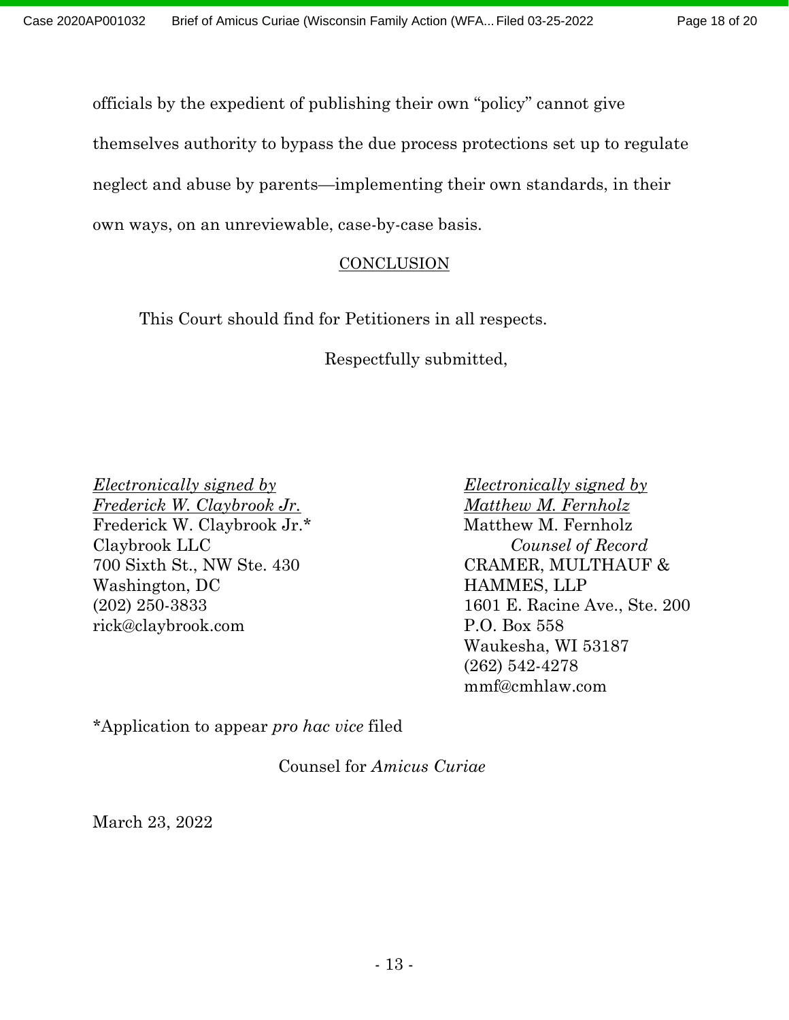Page 18 of 20

officials by the expedient of publishing their own "policy" cannot give

themselves authority to bypass the due process protections set up to regulate

neglect and abuse by parents—implementing their own standards, in their

own ways, on an unreviewable, case-by-case basis.

### **CONCLUSION**

This Court should find for Petitioners in all respects.

Respectfully submitted,

*Electronically signed by Electronically signed by Frederick W. Claybrook Jr. Matthew M. Fernholz* Frederick W. Claybrook Jr.\* Matthew M. Fernholz Claybrook LLC *Counsel of Record* 700 Sixth St., NW Ste. 430 CRAMER, MULTHAUF & Washington, DC HAMMES, LLP rick@claybrook.com P.O. Box 558

(202) 250-3833 1601 E. Racine Ave., Ste. 200 Waukesha, WI 53187 (262) 542-4278 mmf@cmhlaw.com

\*Application to appear *pro hac vice* filed

Counsel for *Amicus Curiae*

March 23, 2022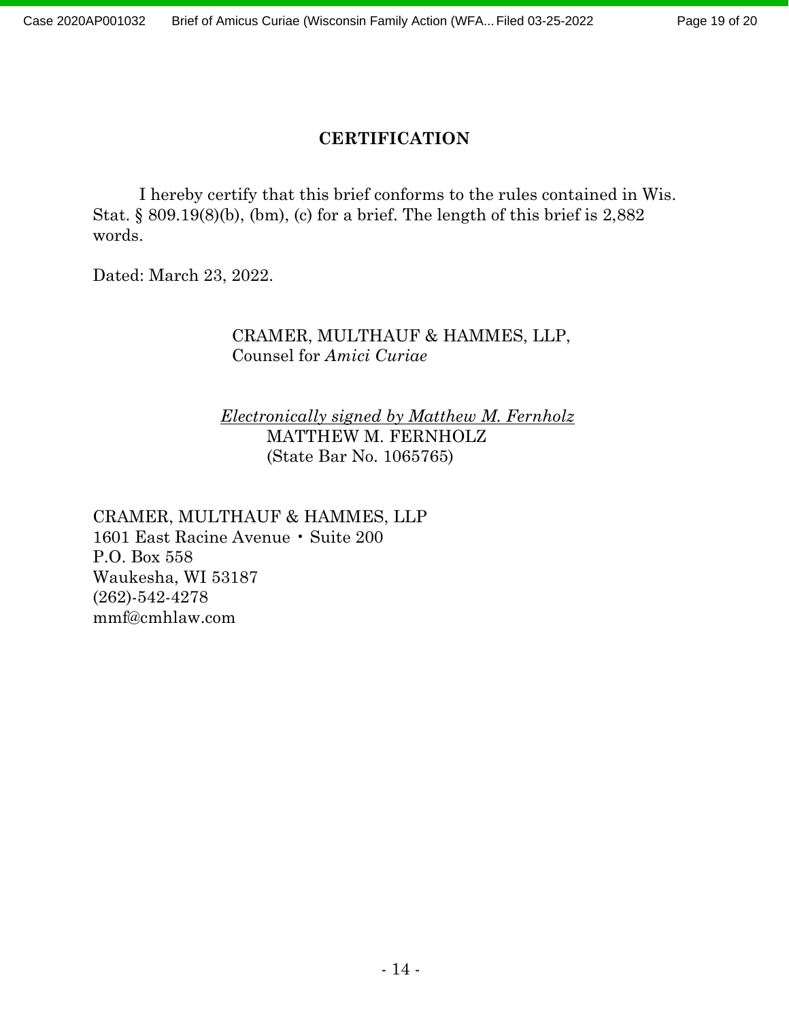### **CERTIFICATION**

I hereby certify that this brief conforms to the rules contained in Wis. Stat. § 809.19(8)(b), (bm), (c) for a brief. The length of this brief is 2,882 words.

Dated: March 23, 2022.

#### CRAMER, MULTHAUF & HAMMES, LLP, Counsel for *Amici Curiae*

#### *Electronically signed by Matthew M. Fernholz* MATTHEW M. FERNHOLZ (State Bar No. 1065765)

CRAMER, MULTHAUF & HAMMES, LLP 1601 East Racine Avenue • Suite 200 P.O. Box 558 Waukesha, WI 53187 (262)-542-4278 mmf@cmhlaw.com